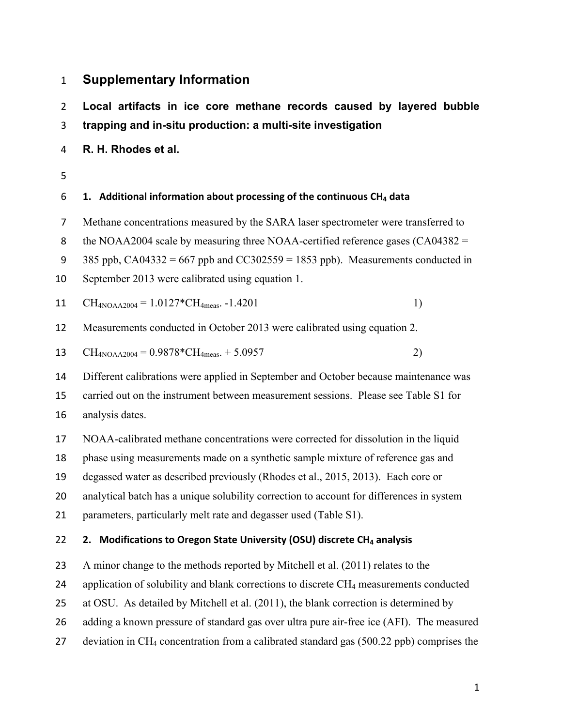# **Supplementary Information**

 **Local, artifacts, in, ice, core, methane, records, caused, by, layered, bubble, trapping and in-situ production: a multi-site investigation** 

- **R. H. Rhodes et al.**
- 

## **1. Additional+information+about+processing of+the continuous+CH4 data**

- Methane concentrations measured by the SARA laser spectrometer were transferred to
- 8 the NOAA2004 scale by measuring three NOAA-certified reference gases (CA04382 =
- 9 385 ppb,  $CA04332 = 667$  ppb and  $CC302559 = 1853$  ppb). Measurements conducted in
- September 2013 were calibrated using equation 1.

11 CH<sub>4NOAA2004</sub> = 
$$
1.0127 \times \text{CH}_{4meas}
$$
. -1.4201 1)

Measurements conducted in October 2013 were calibrated using equation 2.

13 
$$
CH_{4NOAA2004} = 0.9878 \cdot CH_{4meas.} + 5.0957
$$
 2)

Different calibrations were applied in September and October because maintenance was

 carried out on the instrument between measurement sessions. Please see Table S1 for analysis dates.

NOAA-calibrated methane concentrations were corrected for dissolution in the liquid

phase using measurements made on a synthetic sample mixture of reference gas and

degassed water as described previously (Rhodes et al., 2015, 2013). Each core or

analytical batch has a unique solubility correction to account for differences in system

21 parameters, particularly melt rate and degasser used (Table S1).

### 22 **2.** Modifications to Oregon State University (OSU) discrete CH<sub>4</sub> analysis

A minor change to the methods reported by Mitchell et al. (2011) relates to the

- 24 application of solubility and blank corrections to discrete CH<sub>4</sub> measurements conducted
- at OSU. As detailed by Mitchell et al. (2011), the blank correction is determined by
- adding a known pressure of standard gas over ultra pure air-free ice (AFI). The measured
- deviation in CH4 concentration from a calibrated standard gas (500.22 ppb) comprises the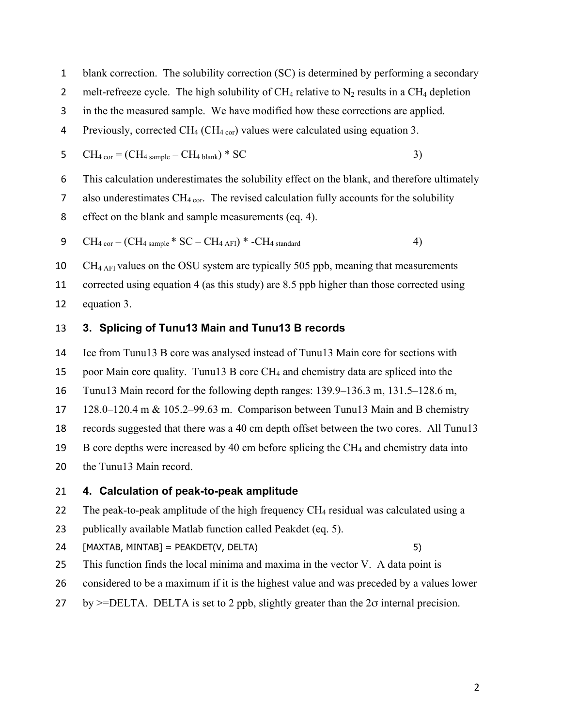blank correction. The solubility correction (SC) is determined by performing a secondary

- 2 melt-refreeze cycle. The high solubility of  $CH_4$  relative to  $N_2$  results in a  $CH_4$  depletion
- in the the measured sample. We have modified how these corrections are applied.

4 Previously, corrected  $CH_4$  (CH<sub>4 cor</sub>) values were calculated using equation 3.

5 
$$
CH_{4 \text{ cor}} = (CH_{4 \text{ sample}} - CH_{4 \text{ blank}}) * SC
$$
 3)

This calculation underestimates the solubility effect on the blank, and therefore ultimately

7 also underestimates  $CH_{4 \text{ cor}}$ . The revised calculation fully accounts for the solubility

effect on the blank and sample measurements (eq. 4).

CH4 cor – (CH4 sample \* SC – CH4 AFI) \* -CH4 standard 4)

10 CH $_{4 \text{ AFI}}$  values on the OSU system are typically 505 ppb, meaning that measurements corrected using equation 4 (as this study) are 8.5 ppb higher than those corrected using equation 3.

### **3. Splicing,of,Tunu13,Main,and,Tunu13,B,records**

Ice from Tunu13 B core was analysed instead of Tunu13 Main core for sections with

poor Main core quality. Tunu13 B core CH4 and chemistry data are spliced into the

Tunu13 Main record for the following depth ranges: 139.9–136.3 m, 131.5–128.6 m,

128.0–120.4 m & 105.2–99.63 m. Comparison between Tunu13 Main and B chemistry

records suggested that there was a 40 cm depth offset between the two cores. All Tunu13

19 B core depths were increased by 40 cm before splicing the  $CH<sub>4</sub>$  and chemistry data into

the Tunu13 Main record.

#### **4. Calculation of peak-to-peak amplitude**

22 The peak-to-peak amplitude of the high frequency  $CH_4$  residual was calculated using a

- publically available Matlab function called Peakdet (eq. 5).
- [MAXTAB,(MINTAB](=(PEAKDET(V,(DELTA)( 5)

- This function finds the local minima and maxima in the vector V. A data point is
- considered to be a maximum if it is the highest value and was preceded by a values lower
- 27 by  $>=$ DELTA. DELTA is set to 2 ppb, slightly greater than the 2 $\sigma$  internal precision.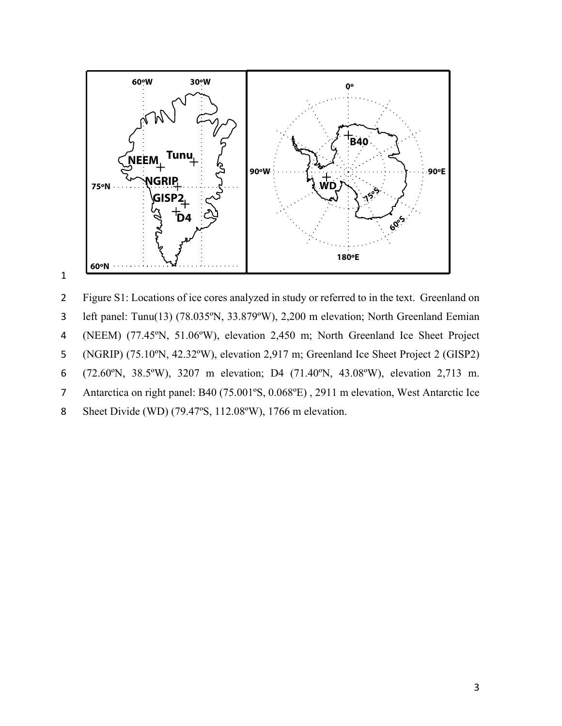

### 1

2 Figure S1: Locations of ice cores analyzed in study or referred to in the text. Greenland on 3 left panel: Tunu(13) (78.035ºN, 33.879ºW), 2,200 m elevation; North Greenland Eemian 4 (NEEM) (77.45ºN, 51.06ºW), elevation 2,450 m; North Greenland Ice Sheet Project 5 (NGRIP) (75.10ºN, 42.32ºW), elevation 2,917 m; Greenland Ice Sheet Project 2 (GISP2) 6 (72.60ºN, 38.5ºW), 3207 m elevation; D4 (71.40ºN, 43.08ºW), elevation 2,713 m. 7 Antarctica on right panel: B40 (75.001ºS, 0.068ºE) , 2911 m elevation, West Antarctic Ice 8 Sheet Divide (WD) (79.47ºS, 112.08ºW), 1766 m elevation.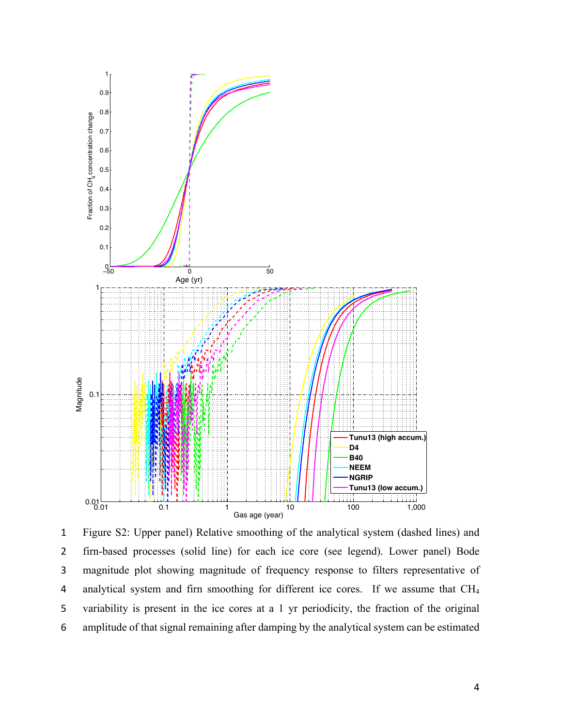

1 Figure S2: Upper panel) Relative smoothing of the analytical system (dashed lines) and 2 firn-based processes (solid line) for each ice core (see legend). Lower panel) Bode 3 magnitude plot showing magnitude of frequency response to filters representative of 4 analytical system and firn smoothing for different ice cores. If we assume that CH4 5 variability is present in the ice cores at a 1 yr periodicity, the fraction of the original 6 amplitude of that signal remaining after damping by the analytical system can be estimated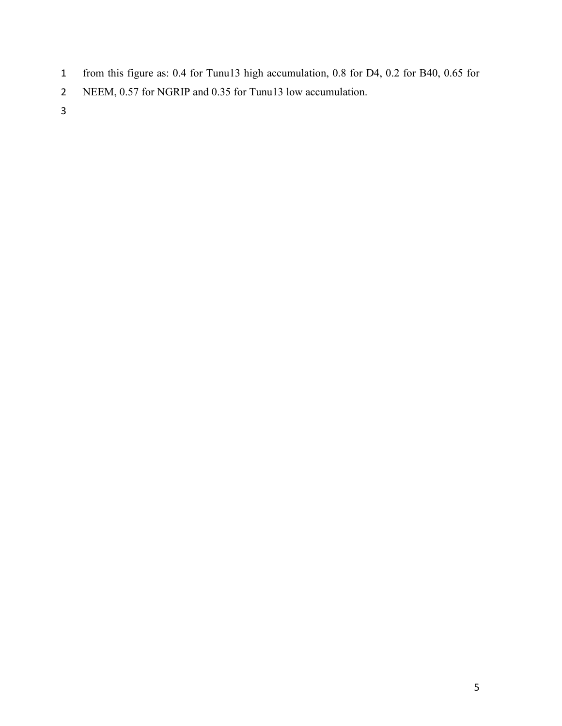- from this figure as: 0.4 for Tunu13 high accumulation, 0.8 for D4, 0.2 for B40, 0.65 for
- NEEM, 0.57 for NGRIP and 0.35 for Tunu13 low accumulation.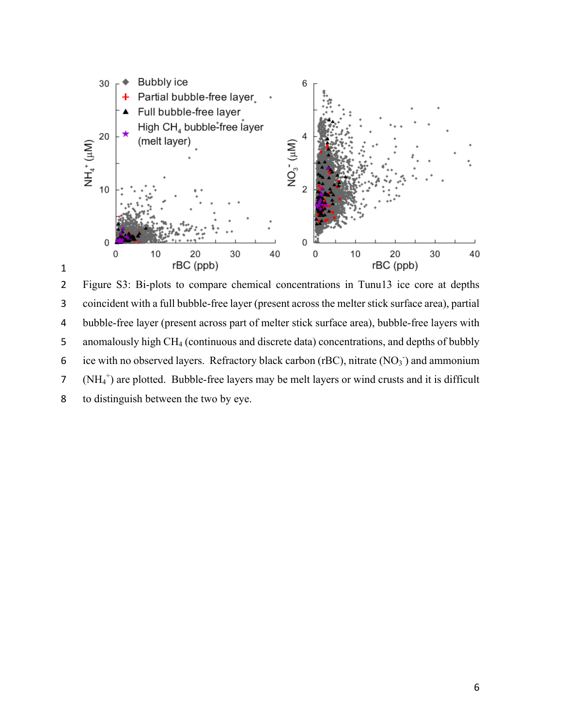

 Figure S3: Bi-plots to compare chemical concentrations in Tunu13 ice core at depths coincident with a full bubble-free layer (present across the melter stick surface area), partial bubble-free layer (present across part of melter stick surface area), bubble-free layers with anomalously high CH4 (continuous and discrete data) concentrations, and depths of bubbly 6 ice with no observed layers. Refractory black carbon (rBC), nitrate  $(NO<sub>3</sub>$ ) and ammonium 7 ( $NH_4^+$ ) are plotted. Bubble-free layers may be melt layers or wind crusts and it is difficult to distinguish between the two by eye.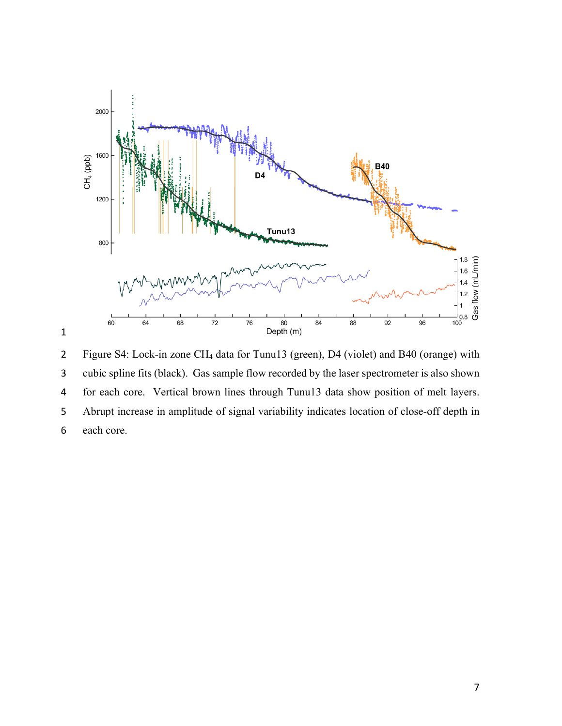

 Figure S4: Lock-in zone CH4 data for Tunu13 (green), D4 (violet) and B40 (orange) with cubic spline fits (black). Gas sample flow recorded by the laser spectrometer is also shown for each core. Vertical brown lines through Tunu13 data show position of melt layers. Abrupt increase in amplitude of signal variability indicates location of close-off depth in each core.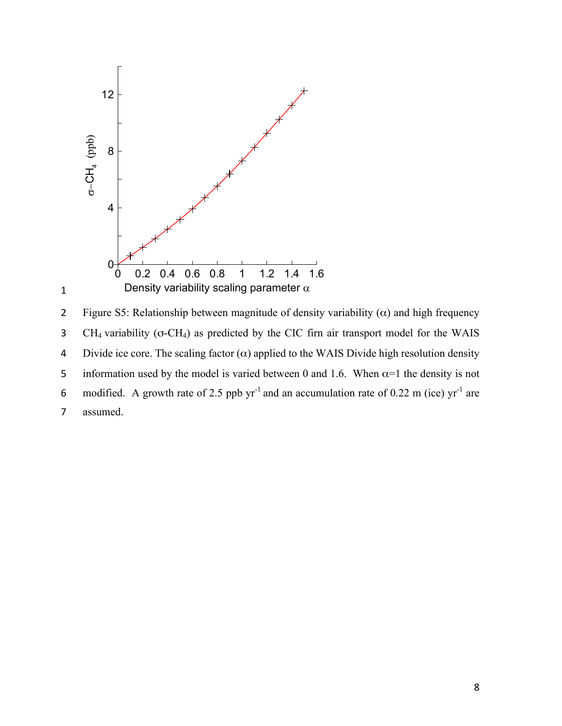

2 Figure S5: Relationship between magnitude of density variability  $(\alpha)$  and high frequency 3 CH4 variability (σ-CH4) as predicted by the CIC firn air transport model for the WAIS 4 Divide ice core. The scaling factor  $(\alpha)$  applied to the WAIS Divide high resolution density 5 information used by the model is varied between 0 and 1.6. When  $\alpha$ =1 the density is not 6 modified. A growth rate of 2.5 ppb  $yr^{-1}$  and an accumulation rate of 0.22 m (ice)  $yr^{-1}$  are 7 assumed.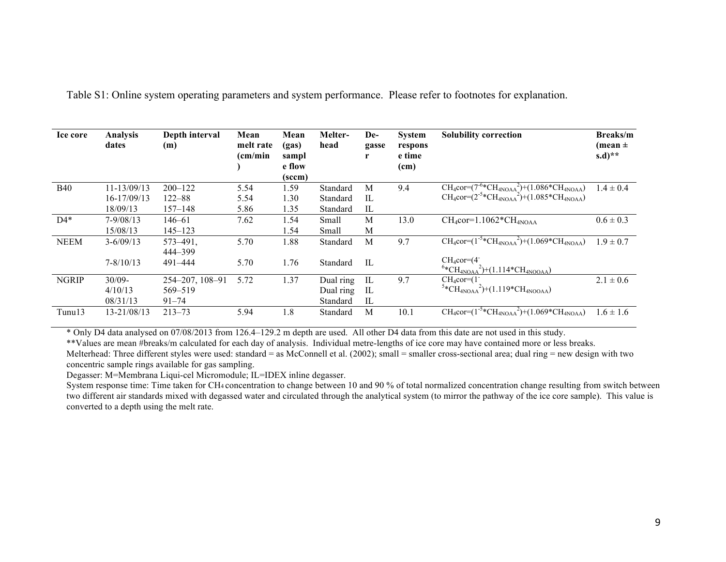| Ice core     | <b>Analysis</b><br>dates | Depth interval<br>(m) | Mean<br>melt rate<br>(cm/min) | Mean<br>(gas)<br>sampl<br>e flow<br>(sccm) | Melter-<br>head | De-<br>gasse<br>r | <b>System</b><br>respons<br>e time<br>(c <sub>m</sub> ) | <b>Solubility correction</b>                                    | Breaks/m<br>(mean $\pm$<br>$(s.d)**$ |
|--------------|--------------------------|-----------------------|-------------------------------|--------------------------------------------|-----------------|-------------------|---------------------------------------------------------|-----------------------------------------------------------------|--------------------------------------|
| <b>B40</b>   | $11 - 13/09/13$          | $200 - 122$           | 5.54                          | 1.59                                       | Standard        | M                 | 9.4                                                     | $CH_4cor=(7^{6}*CH_{4NOAA}^2)+(1.086*CH_{4NOAA})$               | $1.4 \pm 0.4$                        |
|              | 16-17/09/13              | $122 - 88$            | 5.54                          | 1.30                                       | Standard        | IL                |                                                         | $CH_4cor=(2^{-5}*CH_{4NOAA}^2)+(1.085*CH_{4NOAA})$              |                                      |
|              | 18/09/13                 | $157 - 148$           | 5.86                          | 1.35                                       | Standard        | IL                |                                                         |                                                                 |                                      |
| $D4*$        | $7 - 9/08/13$            | $146 - 61$            | 7.62                          | 1.54                                       | Small           | M                 | 13.0                                                    | $CH_4cor=1.1062$ <sup>*</sup> $CH_{4NOAA}$                      | $0.6 \pm 0.3$                        |
|              | 15/08/13                 | $145 - 123$           |                               | 1.54                                       | Small           | M                 |                                                         |                                                                 |                                      |
| <b>NEEM</b>  | $3 - 6/09/13$            | $573 - 491$ ,         | 5.70                          | 1.88                                       | Standard        | M                 | 9.7                                                     | $CH_4cor=(1^{-5}*CH_{4NOAA}^2)+(1.069*CH_{4NOAA})$              | $1.9 \pm 0.7$                        |
|              |                          | 444-399               |                               |                                            |                 |                   |                                                         |                                                                 |                                      |
|              | $7 - 8/10/13$            | 491-444               | 5.70                          | 1.76                                       | Standard        | IL                |                                                         | $CH_4cor=(4)$<br>$^{6*}CH_{4NOAA}^2$ + (1.114 $^*CH_{4NOOAA}$ ) |                                      |
| <b>NGRIP</b> | $30/09 -$                | 254-207, 108-91       | 5.72                          | 1.37                                       | Dual ring       | IL                | 9.7                                                     | $CH_4cor=(1)$                                                   | $2.1 \pm 0.6$                        |
|              | 4/10/13                  | 569-519               |                               |                                            | Dual ring       | IL                |                                                         | $^{5*}CH_{4NOAA}{}^{2})$ +(1.119*CH <sub>4NOOAA</sub> )         |                                      |
|              | 08/31/13                 | $91 - 74$             |                               |                                            | Standard        | IL                |                                                         |                                                                 |                                      |
| $T$ unu $13$ | 13-21/08/13              | $213 - 73$            | 5.94                          | 1.8                                        | Standard        | M                 | 10.1                                                    | $CH_4cor=(1^{-5}*CH_{4NOAA}^2)+(1.069*CH_{4NOAA})$              | $1.6 \pm 1.6$                        |

Table S1: Online system operating parameters and system performance. Please refer to footnotes for explanation.

\* Only D4 data analysed on 07/08/2013 from 126.4–129.2 m depth are used. All other D4 data from this date are not used in this study.

\*\*Values are mean #breaks/m calculated for each day of analysis. Individual metre-lengths of ice core may have contained more or less breaks. Melterhead: Three different styles were used: standard = as McConnell et al. (2002); small = smaller cross-sectional area; dual ring = new design with two concentric sample rings available for gas sampling.

Degasser: M=Membrana Liqui-cel Micromodule; IL=IDEX inline degasser.

System response time: Time taken for CH4 concentration to change between 10 and 90 % of total normalized concentration change resulting from switch between two different air standards mixed with degassed water and circulated through the analytical system (to mirror the pathway of the ice core sample). This value is converted to a depth using the melt rate.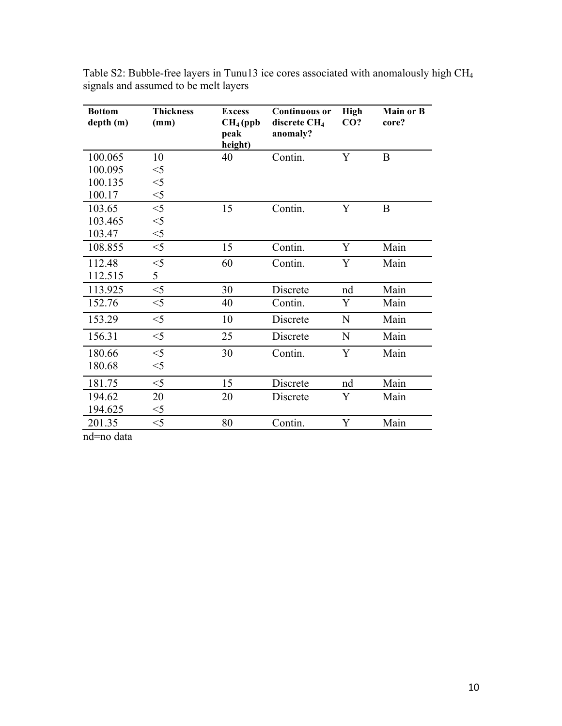| <b>Bottom</b><br>depth (m) | <b>Thickness</b><br>(mm) | <b>Excess</b><br>CH <sub>4</sub> (ppb)<br>peak<br>height) | <b>Continuous or</b><br>discrete CH <sub>4</sub><br>anomaly? | <b>High</b><br>CO? | <b>Main or B</b><br>core? |
|----------------------------|--------------------------|-----------------------------------------------------------|--------------------------------------------------------------|--------------------|---------------------------|
| 100.065                    | 10                       | 40                                                        | Contin.                                                      | Y                  | $\bf{B}$                  |
| 100.095                    | $<$ 5                    |                                                           |                                                              |                    |                           |
| 100.135                    | $<$ 5                    |                                                           |                                                              |                    |                           |
| 100.17                     | $<$ 5                    |                                                           |                                                              |                    |                           |
| 103.65                     | $<$ 5                    | 15                                                        | Contin.                                                      | Y                  | B                         |
| 103.465                    | $<$ 5                    |                                                           |                                                              |                    |                           |
| 103.47                     | $<$ 5                    |                                                           |                                                              |                    |                           |
| 108.855                    | $<$ 5                    | 15                                                        | Contin.                                                      | Y                  | Main                      |
| 112.48                     | $<$ 5                    | 60                                                        | Contin.                                                      | Y                  | Main                      |
| 112.515                    | 5                        |                                                           |                                                              |                    |                           |
| 113.925                    | $<$ 5                    | 30                                                        | Discrete                                                     | nd                 | Main                      |
| 152.76                     | $<$ 5                    | 40                                                        | Contin.                                                      | Y                  | Main                      |
| 153.29                     | $<$ 5                    | 10                                                        | Discrete                                                     | $\mathbf N$        | Main                      |
| 156.31                     | $<$ 5                    | 25                                                        | Discrete                                                     | N                  | Main                      |
| 180.66                     | $<$ 5                    | 30                                                        | Contin.                                                      | Y                  | Main                      |
| 180.68                     | $<$ 5                    |                                                           |                                                              |                    |                           |
| 181.75                     | $<$ 5                    | 15                                                        | Discrete                                                     | nd                 | Main                      |
| 194.62                     | 20                       | 20                                                        | Discrete                                                     | Y                  | Main                      |
| 194.625                    | $<$ 5                    |                                                           |                                                              |                    |                           |
| 201.35                     | $<$ 5                    | 80                                                        | Contin.                                                      | Y                  | Main                      |
|                            |                          |                                                           |                                                              |                    |                           |

Table S2: Bubble-free layers in Tunu13 ice cores associated with anomalously high CH4 signals and assumed to be melt layers

nd=no data